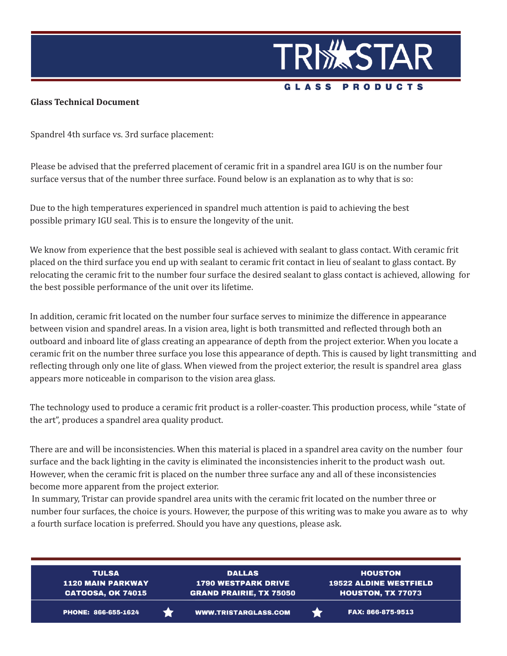

## **Glass Technical Document**

Spandrel 4th surface vs. 3rd surface placement:

Please be advised that the preferred placement of ceramic frit in a spandrel area IGU is on the number four surface versus that of the number three surface. Found below is an explanation as to why that is so:

Due to the high temperatures experienced in spandrel much attention is paid to achieving the best possible primary IGU seal. This is to ensure the longevity of the unit.

We know from experience that the best possible seal is achieved with sealant to glass contact. With ceramic frit placed on the third surface you end up with sealant to ceramic frit contact in lieu of sealant to glass contact. By relocating the ceramic frit to the number four surface the desired sealant to glass contact is achieved, allowing for the best possible performance of the unit over its lifetime.

In addition, ceramic frit located on the number four surface serves to minimize the difference in appearance between vision and spandrel areas. In a vision area, light is both transmitted and reflected through both an outboard and inboard lite of glass creating an appearance of depth from the project exterior. When you locate a ceramic frit on the number three surface you lose this appearance of depth. This is caused by light transmitting and reflecting through only one lite of glass. When viewed from the project exterior, the result is spandrel area glass appears more noticeable in comparison to the vision area glass.

The technology used to produce a ceramic frit product is a roller-coaster. This production process, while "state of the art", produces a spandrel area quality product.

There are and will be inconsistencies. When this material is placed in a spandrel area cavity on the number four surface and the back lighting in the cavity is eliminated the inconsistencies inherit to the product wash out. However, when the ceramic frit is placed on the number three surface any and all of these inconsistencies become more apparent from the project exterior.

In summary, Tristar can provide spandrel area units with the ceramic frit located on the number three or number four surfaces, the choice is yours. However, the purpose of this writing was to make you aware as to why a fourth surface location is preferred. Should you have any questions, please ask.